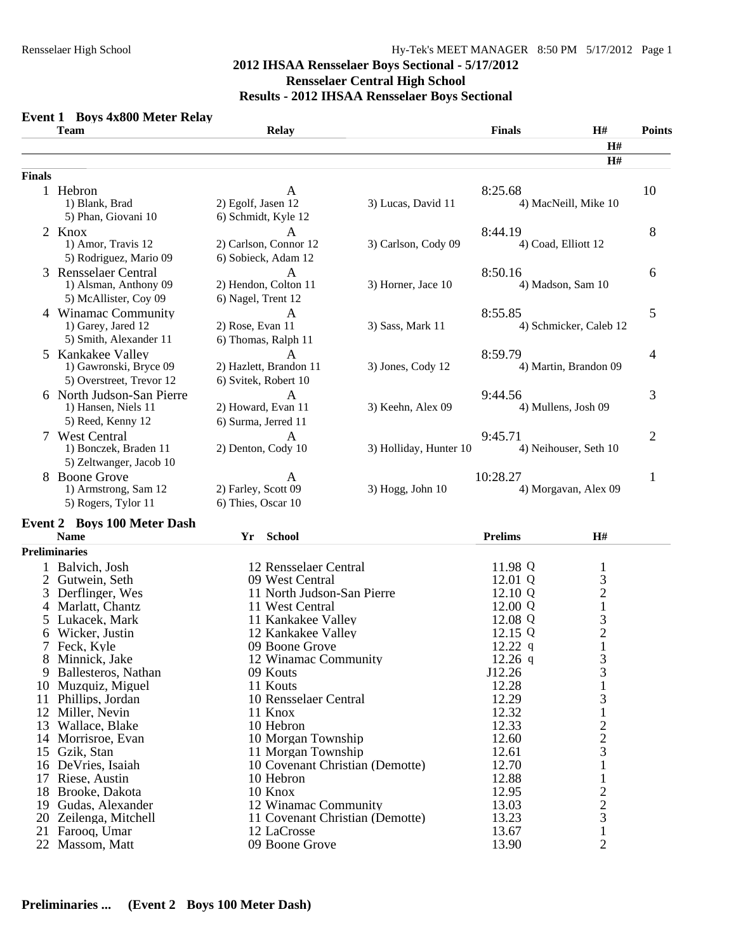#### **Event 1 Boys 4x800 Meter Relay Team Relay Finals H# Points H# H# Finals**  1 Hebron **A** 8:25.68 10 1) Blank, Brad 2) Egolf, Jasen 12 3) Lucas, David 11 4) MacNeill, Mike 10 5) Phan, Giovani 10 6) Schmidt, Kyle 12 2 Knox A 8:44.19 8 1) Amor, Travis 12 2) Carlson, Connor 12 3) Carlson, Cody 09 4) Coad, Elliott 12 5) Rodriguez, Mario 09 6) Sobieck, Adam 12 3 Rensselaer Central A 8:50.16 6<br>1) Alsman, Anthony 09 2) Hendon, Colton 11 3) Horner, Jace 10 4) Madson, Sam 10 1) Alsman, Anthony 09 5) McAllister, Coy 09 6) Nagel, Trent 12 4 Winamac Community A<br>
1) Garey, Jared 12 2) Rose, Evan 11 3) Sass, Mark 11 4) Schmicker, Caleb 12 4 1) Garey, Jared 12 2) Rose, Evan 11 3) Sass, Mark 11 4) Schmicker, Caleb 12 5) Smith, Alexander 11 6) Thomas, Ralph 11 5 Kankakee Valley 2012 A 3:59.79 1) Gawronski, Bryce 09 2) Hazlett, Brandon 11 3) Jones, Cody 12 4) Martin, Brandon 09 5) Overstreet, Trevor 12 6) Svitek, Robert 10 6 North Judson-San Pierre <br>
1) Hansen, Niels 11 2) Howard, Evan 11 3) Keehn, Alex 09 9:44.56 4) Mullens, Josh 09 3 4) Mullens, Josh 09 5) Reed, Kenny 12 6) Surma, Jerred 11 7 West Central <br>
1) Bonczek, Braden 11 <br>
2) Denton, Cody 10 <br>
3) Holliday, Hunter 10 <br>
4) Neihouser, Seth 10 <br>
4) 2 3) Holliday, Hunter 10 5) Zeltwanger, Jacob 10 8 Boone Grove A 10:28.27 1<br>
1) Armstrong, Sam 12 2) Farley, Scott 09 3) Hogg, John 10 4) Morgavan, Alex 09 1) Armstrong, Sam 12 5) Rogers, Tylor 11 6) Thies, Oscar 10

#### **Event 2 Boys 100 Meter Dash**

|    | <b>Name</b>          | Yr | <b>School</b>                   | <b>Prelims</b> | <b>H#</b>      |  |
|----|----------------------|----|---------------------------------|----------------|----------------|--|
|    | <b>Preliminaries</b> |    |                                 |                |                |  |
|    | 1 Balvich, Josh      |    | 12 Rensselaer Central           | 11.98 Q        | T.             |  |
|    | 2 Gutwein, Seth      |    | 09 West Central                 | 12.01 Q        | 3              |  |
|    | 3 Derflinger, Wes    |    | 11 North Judson-San Pierre      | 12.10 Q        | $\overline{c}$ |  |
|    | 4 Marlatt, Chantz    |    | 11 West Central                 | 12.00 Q        |                |  |
|    | 5 Lukacek, Mark      |    | 11 Kankakee Valley              | 12.08 Q        | 3              |  |
|    | 6 Wicker, Justin     |    | 12 Kankakee Valley              | 12.15 Q        | $\overline{2}$ |  |
|    | 7 Feck, Kyle         |    | 09 Boone Grove                  | $12.22$ q      | T.             |  |
|    | 8 Minnick, Jake      |    | 12 Winamac Community            | $12.26$ q      | 3              |  |
| 9. | Ballesteros, Nathan  |    | 09 Kouts                        | J12.26         | 3              |  |
| 10 | Muzquiz, Miguel      |    | 11 Kouts                        | 12.28          | T.             |  |
| 11 | Phillips, Jordan     |    | 10 Rensselaer Central           | 12.29          | 3              |  |
| 12 | Miller, Nevin        |    | 11 Knox                         | 12.32          | T.             |  |
| 13 | Wallace, Blake       |    | 10 Hebron                       | 12.33          | $\overline{c}$ |  |
| 14 | Morrisroe, Evan      |    | 10 Morgan Township              | 12.60          | $\frac{2}{3}$  |  |
|    | 15 Gzik, Stan        |    | 11 Morgan Township              | 12.61          |                |  |
| 16 | De Vries, Isaiah     |    | 10 Covenant Christian (Demotte) | 12.70          |                |  |
| 17 | Riese, Austin        |    | 10 Hebron                       | 12.88          |                |  |
| 18 | Brooke, Dakota       |    | 10 Knox                         | 12.95          | $\overline{2}$ |  |
| 19 | Gudas, Alexander     |    | 12 Winamac Community            | 13.03          | $\overline{c}$ |  |
| 20 | Zeilenga, Mitchell   |    | 11 Covenant Christian (Demotte) | 13.23          | 3              |  |
|    | 21 Farooq, Umar      |    | 12 LaCrosse                     | 13.67          | T,             |  |
|    | 22 Massom, Matt      |    | 09 Boone Grove                  | 13.90          | $\overline{2}$ |  |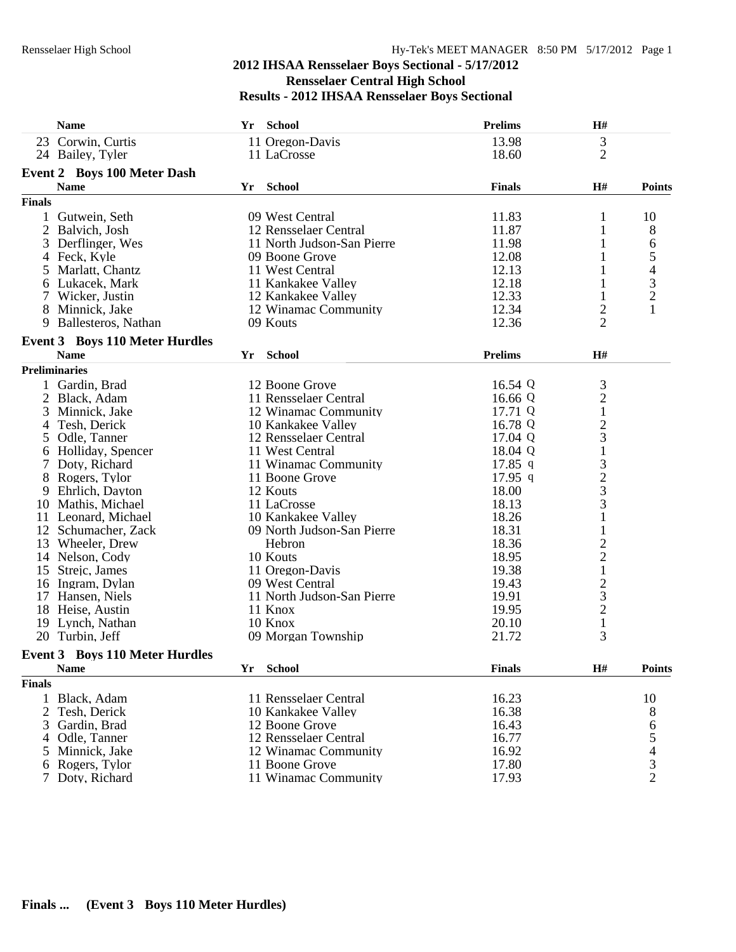|                 | <b>Name</b>                           | Yr | <b>School</b>              | <b>Prelims</b> | H#                                                   |                |
|-----------------|---------------------------------------|----|----------------------------|----------------|------------------------------------------------------|----------------|
|                 | 23 Corwin, Curtis                     |    | 11 Oregon-Davis            | 13.98          | 3                                                    |                |
|                 | 24 Bailey, Tyler                      |    | 11 LaCrosse                | 18.60          | $\overline{2}$                                       |                |
|                 | <b>Event 2 Boys 100 Meter Dash</b>    |    |                            |                |                                                      |                |
|                 | <b>Name</b>                           | Yr | <b>School</b>              | <b>Finals</b>  | H#                                                   | <b>Points</b>  |
| <b>Finals</b>   |                                       |    |                            |                |                                                      |                |
|                 | 1 Gutwein, Seth                       |    | 09 West Central            | 11.83          | 1                                                    | 10             |
|                 | 2 Balvich, Josh                       |    | 12 Rensselaer Central      | 11.87          | 1                                                    | 8              |
| 3               | Derflinger, Wes                       |    | 11 North Judson-San Pierre | 11.98          |                                                      | 6              |
|                 | 4 Feck, Kyle                          |    | 09 Boone Grove             | 12.08          |                                                      | 5              |
|                 | 5 Marlatt, Chantz                     |    | 11 West Central            | 12.13          | 1                                                    | 4              |
|                 | 6 Lukacek, Mark                       |    | 11 Kankakee Valley         | 12.18          |                                                      | 3              |
|                 | 7 Wicker, Justin                      |    | 12 Kankakee Valley         | 12.33          | 1                                                    | $\overline{2}$ |
|                 | 8 Minnick, Jake                       |    | 12 Winamac Community       | 12.34          |                                                      | $\mathbf{1}$   |
| 9               | Ballesteros, Nathan                   |    | 09 Kouts                   | 12.36          | $\overline{c}$<br>$\overline{2}$                     |                |
|                 |                                       |    |                            |                |                                                      |                |
|                 | <b>Event 3 Boys 110 Meter Hurdles</b> |    |                            |                |                                                      |                |
|                 | <b>Name</b>                           | Yr | School                     | <b>Prelims</b> | H#                                                   |                |
|                 | <b>Preliminaries</b>                  |    |                            |                |                                                      |                |
|                 | 1 Gardin, Brad                        |    | 12 Boone Grove             | 16.54 Q        | $\frac{3}{2}$                                        |                |
|                 | 2 Black, Adam                         |    | 11 Rensselaer Central      | 16.66 Q        |                                                      |                |
|                 | 3 Minnick, Jake                       |    | 12 Winamac Community       | 17.71 Q        | $\,1$                                                |                |
| 4               | Tesh, Derick                          |    | 10 Kankakee Valley         | 16.78 Q        | $\frac{2}{3}$                                        |                |
| 5 <sup>5</sup>  | Odle, Tanner                          |    | 12 Rensselaer Central      | 17.04 Q        |                                                      |                |
|                 | 6 Holliday, Spencer                   |    | 11 West Central            | 18.04 Q        | $\mathbf 1$                                          |                |
|                 | 7 Doty, Richard                       |    | 11 Winamac Community       | $17.85$ q      |                                                      |                |
|                 | 8 Rogers, Tylor                       |    | 11 Boone Grove             | $17.95$ q      | $\begin{array}{c} 3 \\ 2 \\ 3 \\ 3 \\ 1 \end{array}$ |                |
|                 | 9 Ehrlich, Dayton                     |    | 12 Kouts                   | 18.00          |                                                      |                |
|                 | 10 Mathis, Michael                    |    | 11 LaCrosse                | 18.13          |                                                      |                |
|                 | 11 Leonard, Michael                   |    | 10 Kankakee Valley         | 18.26          |                                                      |                |
|                 | 12 Schumacher, Zack                   |    | 09 North Judson-San Pierre | 18.31          | $\mathbf{1}$                                         |                |
|                 | 13 Wheeler, Drew                      |    | Hebron                     | 18.36          | $\overline{c}$                                       |                |
|                 | 14 Nelson, Cody                       |    | 10 Kouts                   | 18.95          | $\overline{c}$                                       |                |
|                 | 15 Strejc, James                      |    | 11 Oregon-Davis            | 19.38          | $\,1$                                                |                |
|                 | 16 Ingram, Dylan                      |    | 09 West Central            | 19.43          |                                                      |                |
|                 | 17 Hansen, Niels                      |    | 11 North Judson-San Pierre | 19.91          | $\frac{2}{3}$                                        |                |
|                 | 18 Heise, Austin                      |    | 11 Knox                    | 19.95          |                                                      |                |
|                 | 19 Lynch, Nathan                      |    | 10 Knox                    | 20.10          | $\mathbf{1}$                                         |                |
|                 | 20 Turbin, Jeff                       |    | 09 Morgan Township         | 21.72          | 3                                                    |                |
|                 | <b>Event 3 Boys 110 Meter Hurdles</b> |    |                            |                |                                                      |                |
|                 | <b>Name</b>                           | Yr | <b>School</b>              | <b>Finals</b>  | H#                                                   | <b>Points</b>  |
| <b>Finals</b>   |                                       |    |                            |                |                                                      |                |
|                 | 1 Black, Adam                         |    | 11 Rensselaer Central      | 16.23          |                                                      | 10             |
| 2               | Tesh, Derick                          |    | 10 Kankakee Valley         | 16.38          |                                                      |                |
| 3               | Gardin, Brad                          |    | 12 Boone Grove             | 16.43          |                                                      | 8              |
| 4               | Odle, Tanner                          |    | 12 Rensselaer Central      | 16.77          |                                                      | 6<br>5         |
|                 | 5 Minnick, Jake                       |    | 12 Winamac Community       | 16.92          |                                                      | 4              |
|                 |                                       |    | 11 Boone Grove             | 17.80          |                                                      |                |
| $7\phantom{.0}$ | 6 Rogers, Tylor                       |    |                            |                |                                                      | $\frac{3}{2}$  |
|                 | Doty, Richard                         |    | 11 Winamac Community       | 17.93          |                                                      |                |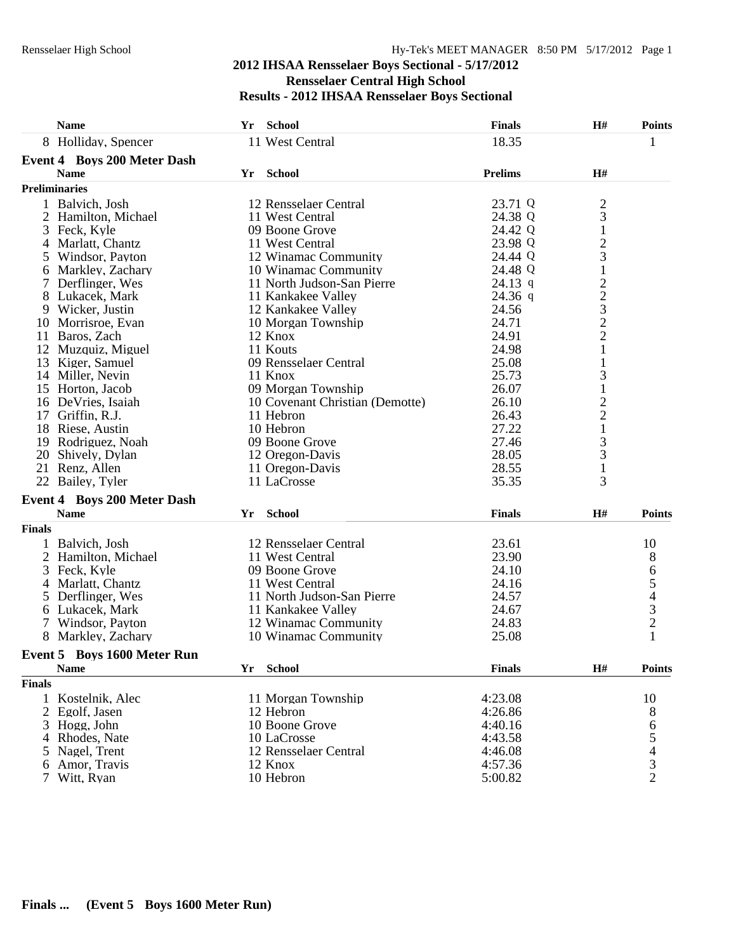|               | <b>Name</b>                                       | Yr | School                          | <b>Finals</b>  | H#                                              | <b>Points</b>  |
|---------------|---------------------------------------------------|----|---------------------------------|----------------|-------------------------------------------------|----------------|
|               | 8 Holliday, Spencer                               |    | 11 West Central                 | 18.35          |                                                 | 1              |
|               | <b>Event 4 Boys 200 Meter Dash</b>                |    |                                 |                |                                                 |                |
|               | <b>Name</b>                                       |    | Yr School                       | <b>Prelims</b> | H#                                              |                |
|               | <b>Preliminaries</b>                              |    |                                 |                |                                                 |                |
|               | 1 Balvich, Josh                                   |    | 12 Rensselaer Central           | 23.71 Q        |                                                 |                |
|               | 2 Hamilton, Michael                               |    | 11 West Central                 | 24.38 Q        | $\frac{2}{3}$                                   |                |
|               | 3 Feck, Kyle                                      |    | 09 Boone Grove                  | 24.42 Q        | $\mathbf{1}$                                    |                |
|               | 4 Marlatt, Chantz                                 |    | 11 West Central                 | 23.98 Q        | $\overline{c}$                                  |                |
|               | 5 Windsor, Payton                                 |    | 12 Winamac Community            | 24.44 Q        | 3                                               |                |
|               | 6 Markley, Zachary                                |    | 10 Winamac Community            | 24.48 Q        | $\mathbf{1}$                                    |                |
|               | Derflinger, Wes                                   |    | 11 North Judson-San Pierre      | 24.13 q        |                                                 |                |
|               | 8 Lukacek, Mark                                   |    | 11 Kankakee Valley              | 24.36 q        | $\begin{array}{c} 2 \\ 2 \\ 3 \\ 2 \end{array}$ |                |
|               | 9 Wicker, Justin                                  |    | 12 Kankakee Valley              | 24.56          |                                                 |                |
|               | 10 Morrisroe, Evan                                |    | 10 Morgan Township              | 24.71          |                                                 |                |
|               | 11 Baros, Zach                                    |    | 12 Knox                         | 24.91          | $\overline{c}$                                  |                |
|               | 12 Muzquiz, Miguel                                |    | 11 Kouts                        | 24.98          | $\mathbf{1}$                                    |                |
|               | 13 Kiger, Samuel                                  |    | 09 Rensselaer Central           | 25.08          | $\mathbf{1}$                                    |                |
|               | 14 Miller, Nevin                                  |    | 11 Knox                         | 25.73          | $\mathfrak{Z}$                                  |                |
|               | 15 Horton, Jacob                                  |    | 09 Morgan Township              | 26.07          | $\mathbf{1}$                                    |                |
|               | 16 DeVries, Isaiah                                |    | 10 Covenant Christian (Demotte) | 26.10          | $\overline{c}$                                  |                |
|               | 17 Griffin, R.J.                                  |    | 11 Hebron                       | 26.43          | $\overline{c}$                                  |                |
|               | 18 Riese, Austin                                  |    | 10 Hebron                       | 27.22          | $\mathbf{1}$                                    |                |
|               | 19 Rodriguez, Noah                                |    | 09 Boone Grove                  | 27.46          | 3                                               |                |
|               | 20 Shively, Dylan                                 |    | 12 Oregon-Davis                 | 28.05          | $\mathfrak{Z}$                                  |                |
|               | 21 Renz, Allen                                    |    | 11 Oregon-Davis                 | 28.55          | $\mathbf{1}$                                    |                |
|               | 22 Bailey, Tyler                                  |    | 11 LaCrosse                     | 35.35          | 3                                               |                |
|               |                                                   |    |                                 |                |                                                 |                |
|               | <b>Event 4 Boys 200 Meter Dash</b><br><b>Name</b> |    |                                 | <b>Finals</b>  | H#                                              |                |
|               |                                                   | Yr | School                          |                |                                                 | <b>Points</b>  |
| <b>Finals</b> |                                                   |    |                                 |                |                                                 |                |
|               | 1 Balvich, Josh                                   |    | 12 Rensselaer Central           | 23.61          |                                                 | 10             |
|               | 2 Hamilton, Michael                               |    | 11 West Central                 | 23.90          |                                                 | 8              |
|               | 3 Feck, Kyle                                      |    | 09 Boone Grove                  | 24.10          |                                                 | 6              |
|               | 4 Marlatt, Chantz                                 |    | 11 West Central                 | 24.16          |                                                 |                |
|               | 5 Derflinger, Wes                                 |    | 11 North Judson-San Pierre      | 24.57          |                                                 | 54321          |
|               | 6 Lukacek, Mark                                   |    | 11 Kankakee Valley              | 24.67          |                                                 |                |
|               | 7 Windsor, Payton                                 |    | 12 Winamac Community            | 24.83          |                                                 |                |
|               | 8 Markley, Zachary                                |    | 10 Winamac Community            | 25.08          |                                                 |                |
|               | Event 5 Boys 1600 Meter Run                       |    |                                 |                |                                                 |                |
|               | <b>Name</b>                                       |    | Yr School                       | <b>Finals</b>  | H#                                              | <b>Points</b>  |
| <b>Finals</b> |                                                   |    |                                 |                |                                                 |                |
|               | 1 Kostelnik, Alec                                 |    | 11 Morgan Township              | 4:23.08        |                                                 | 10             |
|               | 2 Egolf, Jasen                                    |    | 12 Hebron                       | 4:26.86        |                                                 | 8              |
|               | 3 Hogg, John                                      |    | 10 Boone Grove                  | 4:40.16        |                                                 | 6              |
|               | 4 Rhodes, Nate                                    |    | 10 LaCrosse                     | 4:43.58        |                                                 | 5              |
| 5             | Nagel, Trent                                      |    | 12 Rensselaer Central           | 4:46.08        |                                                 |                |
|               | 6 Amor, Travis                                    |    | 12 Knox                         | 4:57.36        |                                                 | $rac{4}{3}$    |
|               | 7 Witt, Ryan                                      |    | 10 Hebron                       | 5:00.82        |                                                 | $\overline{2}$ |
|               |                                                   |    |                                 |                |                                                 |                |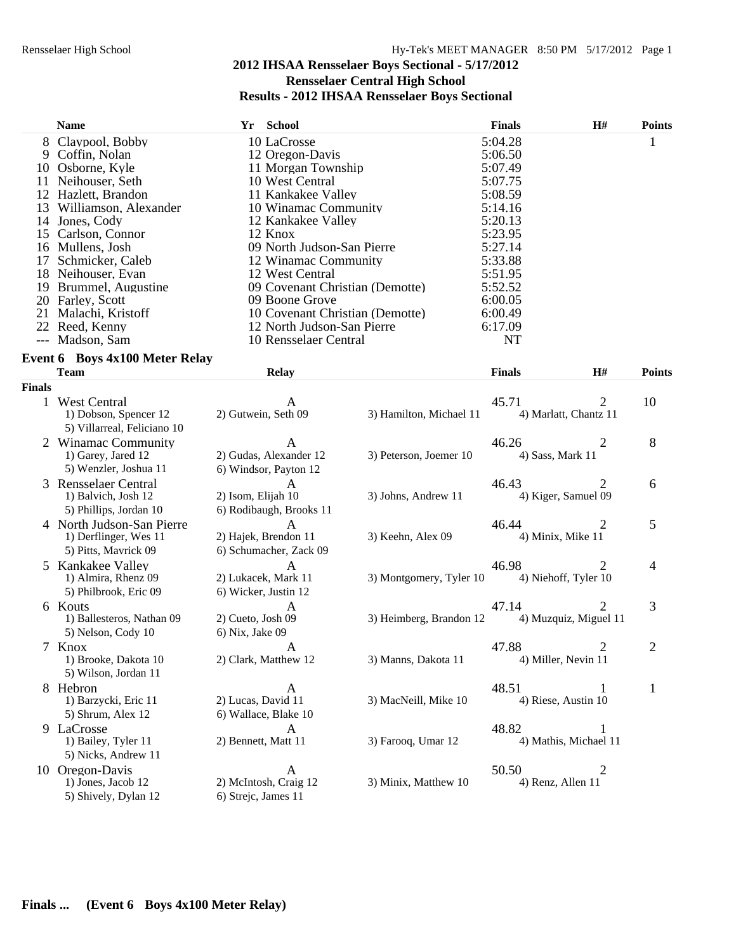|     | <b>Name</b>                      | Yr School                       | <b>Finals</b> | <b>H#</b> | <b>Points</b> |
|-----|----------------------------------|---------------------------------|---------------|-----------|---------------|
|     | 8 Claypool, Bobby                | 10 LaCrosse                     | 5:04.28       |           |               |
|     | 9 Coffin, Nolan                  | 12 Oregon-Davis                 | 5:06.50       |           |               |
|     | 10 Osborne, Kyle                 | 11 Morgan Township              | 5:07.49       |           |               |
|     | 11 Neihouser, Seth               | 10 West Central                 | 5:07.75       |           |               |
|     | 12 Hazlett, Brandon              | 11 Kankakee Valley              | 5:08.59       |           |               |
|     | 13 Williamson, Alexander         | 10 Winamac Community            | 5:14.16       |           |               |
| 14  | Jones, Cody                      | 12 Kankakee Valley              | 5:20.13       |           |               |
|     | 15 Carlson, Connor               | 12 Knox                         | 5:23.95       |           |               |
|     | 16 Mullens, Josh                 | 09 North Judson-San Pierre      | 5:27.14       |           |               |
| 17  | Schmicker, Caleb                 | 12 Winamac Community            | 5:33.88       |           |               |
|     | 18 Neihouser, Evan               | 12 West Central                 | 5:51.95       |           |               |
| 19. | Brummel, Augustine               | 09 Covenant Christian (Demotte) | 5:52.52       |           |               |
|     | 20 Farley, Scott                 | 09 Boone Grove                  | 6:00.05       |           |               |
|     | 21 Malachi, Kristoff             | 10 Covenant Christian (Demotte) | 6:00.49       |           |               |
|     | 22 Reed. Kenny                   | 12 North Judson-San Pierre      | 6:17.09       |           |               |
|     | --- Madson, Sam                  | 10 Rensselaer Central           | NT            |           |               |
|     | Tyant 6 - Rays 1v100 Matar Ralay |                                 |               |           |               |

|               | <b>Event 6 Boys 4x100 Meter Relay</b>                                       |                                                                |                         |                                |                |                |
|---------------|-----------------------------------------------------------------------------|----------------------------------------------------------------|-------------------------|--------------------------------|----------------|----------------|
|               | <b>Team</b>                                                                 | <b>Relay</b>                                                   |                         | <b>Finals</b>                  | H#             | <b>Points</b>  |
| <b>Finals</b> |                                                                             |                                                                |                         |                                |                |                |
| $\mathbf{1}$  | <b>West Central</b><br>1) Dobson, Spencer 12<br>5) Villarreal, Feliciano 10 | A<br>2) Gutwein, Seth 09                                       | 3) Hamilton, Michael 11 | 45.71<br>4) Marlatt, Chantz 11 | 2              | 10             |
|               | 2 Winamac Community<br>1) Garey, Jared 12<br>5) Wenzler, Joshua 11          | A<br>2) Gudas, Alexander 12<br>6) Windsor, Payton 12           | 3) Peterson, Joemer 10  | 46.26<br>4) Sass, Mark 11      | 2              | 8              |
|               | 3 Rensselaer Central<br>1) Balvich, Josh 12<br>5) Phillips, Jordan 10       | A<br>2) Isom, Elijah 10<br>6) Rodibaugh, Brooks 11             | 3) Johns, Andrew 11     | 46.43<br>4) Kiger, Samuel 09   | 2              | 6              |
|               | 4 North Judson-San Pierre<br>1) Derflinger, Wes 11<br>5) Pitts, Mavrick 09  | $\mathbf{A}$<br>2) Hajek, Brendon 11<br>6) Schumacher, Zack 09 | 3) Keehn, Alex 09       | 46.44<br>4) Minix, Mike 11     | 2              | 5              |
|               | 5 Kankakee Valley<br>1) Almira, Rhenz 09<br>5) Philbrook, Eric 09           | $\mathsf{A}$<br>2) Lukacek, Mark 11<br>6) Wicker, Justin 12    | 3) Montgomery, Tyler 10 | 46.98<br>4) Niehoff, Tyler 10  | 2              | 4              |
|               | 6 Kouts<br>1) Ballesteros, Nathan 09<br>5) Nelson, Cody 10                  | $\mathbf{A}$<br>2) Cueto, Josh 09<br>6) Nix, Jake 09           | 3) Heimberg, Brandon 12 | 47.14<br>4) Muzquiz, Miguel 11 | $\overline{2}$ | 3              |
|               | 7 Knox<br>1) Brooke, Dakota 10<br>5) Wilson, Jordan 11                      | A<br>2) Clark, Matthew 12                                      | 3) Manns, Dakota 11     | 47.88<br>4) Miller, Nevin 11   | 2              | $\overline{2}$ |
|               | 8 Hebron<br>1) Barzycki, Eric 11<br>5) Shrum, Alex 12                       | A<br>2) Lucas, David 11<br>6) Wallace, Blake 10                | 3) MacNeill, Mike 10    | 48.51<br>4) Riese, Austin 10   | 1              | $\mathbf{1}$   |
|               | 9 LaCrosse<br>1) Bailey, Tyler 11<br>5) Nicks, Andrew 11                    | $\mathsf{A}$<br>2) Bennett, Matt 11                            | 3) Farooq, Umar 12      | 48.82<br>4) Mathis, Michael 11 | 1              |                |
|               | 10 Oregon-Davis<br>1) Jones, Jacob 12<br>5) Shively, Dylan 12               | A<br>2) McIntosh, Craig 12<br>6) Strejc, James 11              | 3) Minix, Matthew 10    | 50.50<br>4) Renz, Allen 11     | $\overline{2}$ |                |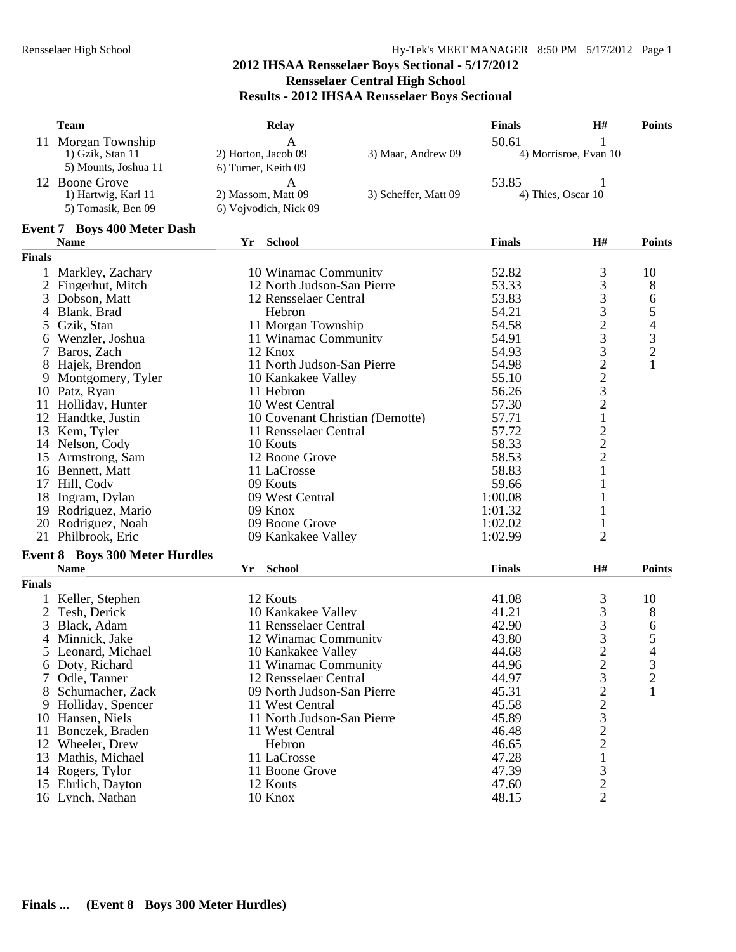|               | <b>Team</b>                           | <b>Relay</b>                    |                      | <b>Finals</b> | H#                                                     | <b>Points</b>                                   |
|---------------|---------------------------------------|---------------------------------|----------------------|---------------|--------------------------------------------------------|-------------------------------------------------|
|               | 11 Morgan Township                    |                                 |                      | 50.61         |                                                        |                                                 |
|               | 1) Gzik, Stan 11                      | 2) Horton, Jacob 09             | 3) Maar, Andrew 09   |               | 4) Morrisroe, Evan 10                                  |                                                 |
|               | 5) Mounts, Joshua 11                  | 6) Turner, Keith 09             |                      |               |                                                        |                                                 |
|               | 12 Boone Grove                        | A                               |                      | 53.85         |                                                        |                                                 |
|               | 1) Hartwig, Karl 11                   | 2) Massom, Matt 09              | 3) Scheffer, Matt 09 |               | 4) Thies, Oscar 10                                     |                                                 |
|               | 5) Tomasik, Ben 09                    | 6) Vojvodich, Nick 09           |                      |               |                                                        |                                                 |
|               | <b>Event 7 Boys 400 Meter Dash</b>    |                                 |                      |               |                                                        |                                                 |
|               | <b>Name</b>                           | School<br>Yr                    |                      | <b>Finals</b> | H#                                                     | <b>Points</b>                                   |
| Finals        |                                       |                                 |                      |               |                                                        |                                                 |
|               | 1 Markley, Zachary                    | 10 Winamac Community            |                      | 52.82         | 3                                                      | 10                                              |
|               | 2 Fingerhut, Mitch                    | 12 North Judson-San Pierre      |                      | 53.33         | 3                                                      | 8                                               |
|               | Dobson, Matt                          | 12 Rensselaer Central           |                      | 53.83         | 3                                                      | 6                                               |
|               | Blank, Brad                           | Hebron                          |                      | 54.21         | 3                                                      |                                                 |
| 5             | Gzik, Stan                            | 11 Morgan Township              |                      | 54.58         | $\frac{2}{3}$                                          | $\begin{array}{c} 5 \\ 4 \\ 3 \\ 2 \end{array}$ |
| 6             | Wenzler, Joshua                       | 11 Winamac Community            |                      | 54.91         |                                                        |                                                 |
| 7             | Baros, Zach                           | 12 Knox                         |                      | 54.93         | $\begin{array}{c}\n3 \\ 2 \\ 2 \\ 3 \\ 2\n\end{array}$ |                                                 |
|               | 8 Hajek, Brendon                      | 11 North Judson-San Pierre      |                      | 54.98         |                                                        | $\mathbf{1}$                                    |
| 9             | Montgomery, Tyler                     | 10 Kankakee Valley              |                      | 55.10         |                                                        |                                                 |
|               | 10 Patz, Ryan                         | 11 Hebron                       |                      | 56.26         |                                                        |                                                 |
|               | 11 Holliday, Hunter                   | 10 West Central                 |                      | 57.30         |                                                        |                                                 |
|               | 12 Handtke, Justin                    | 10 Covenant Christian (Demotte) |                      | 57.71         | $\mathbf 1$                                            |                                                 |
|               | 13 Kem, Tyler                         | 11 Rensselaer Central           |                      | 57.72         | $\frac{2}{2}$                                          |                                                 |
|               | 14 Nelson, Cody                       | 10 Kouts                        |                      | 58.33         |                                                        |                                                 |
|               | 15 Armstrong, Sam                     | 12 Boone Grove                  |                      | 58.53         |                                                        |                                                 |
|               | 16 Bennett, Matt                      | 11 LaCrosse                     |                      | 58.83         | $\mathbf{1}$                                           |                                                 |
|               | 17 Hill, Cody                         | 09 Kouts                        |                      | 59.66         |                                                        |                                                 |
|               | 18 Ingram, Dylan                      | 09 West Central                 |                      | 1:00.08       |                                                        |                                                 |
|               | 19 Rodriguez, Mario                   | 09 Knox                         |                      | 1:01.32       |                                                        |                                                 |
|               | 20 Rodriguez, Noah                    | 09 Boone Grove                  |                      | 1:02.02       |                                                        |                                                 |
|               | 21 Philbrook, Eric                    | 09 Kankakee Valley              |                      | 1:02.99       | $\overline{2}$                                         |                                                 |
|               | <b>Event 8 Boys 300 Meter Hurdles</b> |                                 |                      |               |                                                        |                                                 |
|               | <b>Name</b>                           | School<br>Yr                    |                      | <b>Finals</b> | H#                                                     | <b>Points</b>                                   |
| <b>Finals</b> |                                       |                                 |                      |               |                                                        |                                                 |
|               | Keller, Stephen                       | 12 Kouts                        |                      | 41.08         | 3                                                      | 10                                              |
|               | Tesh, Derick                          | 10 Kankakee Valley              |                      | 41.21         | 3                                                      | 8                                               |
| 3             | Black, Adam                           | 11 Rensselaer Central           |                      | 42.90         | $\frac{3}{3}$                                          | 6                                               |
| 4             | Minnick, Jake                         | 12 Winamac Community            |                      | 43.80         |                                                        | 5                                               |
|               | Leonard, Michael                      | 10 Kankakee Valley              |                      | 44.68         | $\overline{2}$                                         | $\overline{4}$                                  |
|               | 6 Doty, Richard                       | 11 Winamac Community            |                      | 44.96         | $\overline{c}$                                         | 3                                               |
| 7             | Odle, Tanner                          | 12 Rensselaer Central           |                      | 44.97         | 3                                                      | $\overline{c}$                                  |
| 8             | Schumacher, Zack                      | 09 North Judson-San Pierre      |                      | 45.31         |                                                        | $\mathbf{1}$                                    |
| 9             | Holliday, Spencer                     | 11 West Central                 |                      | 45.58         |                                                        |                                                 |
| 10            | Hansen, Niels                         | 11 North Judson-San Pierre      |                      | 45.89         |                                                        |                                                 |
| 11            | Bonczek, Braden                       | 11 West Central                 |                      | 46.48         |                                                        |                                                 |
|               | 12 Wheeler, Drew                      | Hebron                          |                      | 46.65         | $\frac{2}{3}$<br>$\frac{3}{2}$<br>$\frac{2}{1}$        |                                                 |
|               | 13 Mathis, Michael                    | 11 LaCrosse                     |                      | 47.28         |                                                        |                                                 |
|               | 14 Rogers, Tylor                      | 11 Boone Grove                  |                      | 47.39         | 3                                                      |                                                 |
|               | 15 Ehrlich, Dayton                    | 12 Kouts                        |                      | 47.60         | $\overline{c}$                                         |                                                 |
|               | 16 Lynch, Nathan                      | 10 Knox                         |                      | 48.15         | $\overline{2}$                                         |                                                 |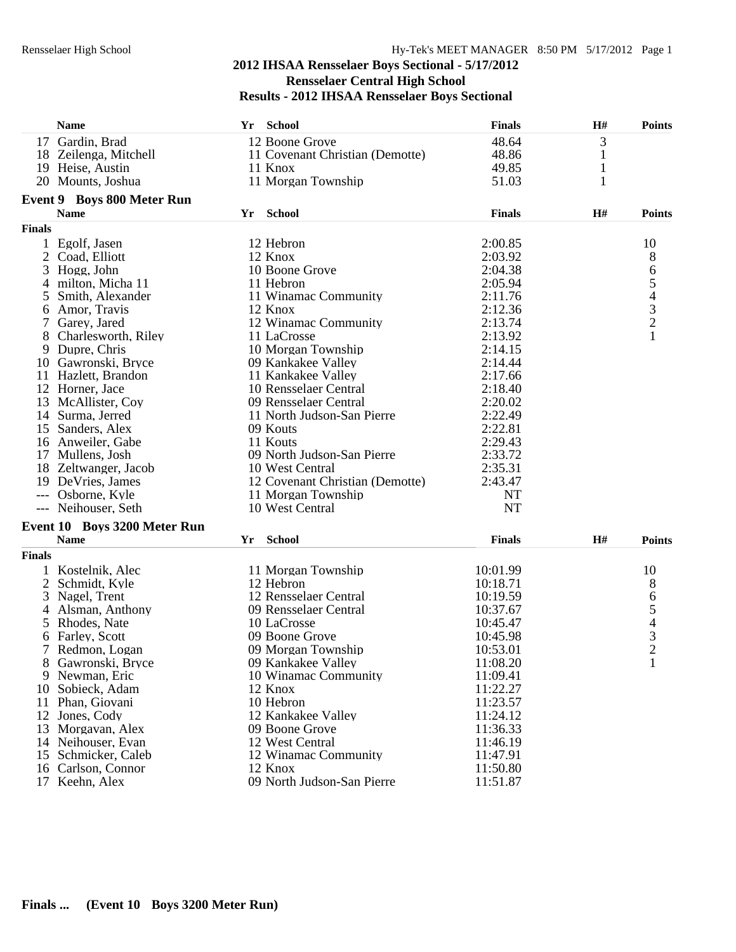|               | <b>Name</b>                                 |    | Yr School                       | <b>Finals</b> | H#           | <b>Points</b> |
|---------------|---------------------------------------------|----|---------------------------------|---------------|--------------|---------------|
|               | 17 Gardin, Brad                             |    | 12 Boone Grove                  | 48.64         | 3            |               |
|               | 18 Zeilenga, Mitchell                       |    | 11 Covenant Christian (Demotte) | 48.86         | $\mathbf{1}$ |               |
|               | 19 Heise, Austin                            |    | 11 Knox                         | 49.85         | $\mathbf{1}$ |               |
|               | 20 Mounts, Joshua                           |    | 11 Morgan Township              | 51.03         | 1            |               |
|               | Event 9 Boys 800 Meter Run                  |    |                                 |               |              |               |
|               | <b>Name</b>                                 |    | Yr School                       | <b>Finals</b> | H#           | <b>Points</b> |
| <b>Finals</b> |                                             |    |                                 |               |              |               |
|               | 1 Egolf, Jasen                              |    | 12 Hebron                       | 2:00.85       |              | 10            |
| 2             | Coad, Elliott                               |    | 12 Knox                         | 2:03.92       |              | 8             |
| 3             | Hogg, John                                  |    | 10 Boone Grove                  | 2:04.38       |              |               |
| 4             | milton, Micha 11                            |    | 11 Hebron                       | 2:05.94       |              | 65432         |
| 5             | Smith, Alexander                            |    | 11 Winamac Community            | 2:11.76       |              |               |
| 6             | Amor, Travis                                |    | 12 Knox                         | 2:12.36       |              |               |
|               | Garey, Jared                                |    | 12 Winamac Community            | 2:13.74       |              |               |
| 8             | Charlesworth, Riley                         |    | 11 LaCrosse                     | 2:13.92       |              | $\mathbf{1}$  |
| 9             | Dupre, Chris                                |    | 10 Morgan Township              | 2:14.15       |              |               |
|               | 10 Gawronski, Bryce                         |    | 09 Kankakee Valley              | 2:14.44       |              |               |
|               | 11 Hazlett, Brandon                         |    | 11 Kankakee Valley              | 2:17.66       |              |               |
|               | 12 Horner, Jace                             |    | 10 Rensselaer Central           | 2:18.40       |              |               |
|               | 13 McAllister, Coy                          |    | 09 Rensselaer Central           | 2:20.02       |              |               |
|               | 14 Surma, Jerred                            |    | 11 North Judson-San Pierre      | 2:22.49       |              |               |
|               | 15 Sanders, Alex                            |    | 09 Kouts                        | 2:22.81       |              |               |
|               | 16 Anweiler, Gabe                           |    | 11 Kouts                        | 2:29.43       |              |               |
|               | 17 Mullens, Josh                            |    | 09 North Judson-San Pierre      | 2:33.72       |              |               |
|               | 18 Zeltwanger, Jacob                        |    | 10 West Central                 | 2:35.31       |              |               |
|               | 19 DeVries, James                           |    | 12 Covenant Christian (Demotte) | 2:43.47       |              |               |
|               | --- Osborne, Kyle                           |    | 11 Morgan Township              | <b>NT</b>     |              |               |
|               | --- Neihouser, Seth                         |    | 10 West Central                 | <b>NT</b>     |              |               |
|               |                                             |    |                                 |               |              |               |
|               | Event 10 Boys 3200 Meter Run<br><b>Name</b> | Yr | School                          | <b>Finals</b> | H#           | <b>Points</b> |
|               |                                             |    |                                 |               |              |               |
| <b>Finals</b> |                                             |    |                                 |               |              |               |
|               | 1 Kostelnik, Alec                           |    | 11 Morgan Township              | 10:01.99      |              | 10            |
| 2             | Schmidt, Kyle                               |    | 12 Hebron                       | 10:18.71      |              | 8             |
|               | 3 Nagel, Trent                              |    | 12 Rensselaer Central           | 10:19.59      |              |               |
| 4             | Alsman, Anthony                             |    | 09 Rensselaer Central           | 10:37.67      |              | 6543          |
|               | 5 Rhodes, Nate                              |    | 10 LaCrosse                     | 10:45.47      |              |               |
|               | 6 Farley, Scott                             |    | 09 Boone Grove                  | 10:45.98      |              | $\mathcal{L}$ |
|               | 7 Redmon, Logan                             |    | 09 Morgan Township              | 10:53.01      |              |               |
|               | Gawronski, Bryce                            |    | 09 Kankakee Valley              | 11:08.20      |              | 1             |
|               | 9 Newman, Eric                              |    | 10 Winamac Community            | 11:09.41      |              |               |
| 10            | Sobieck, Adam                               |    | 12 Knox                         | 11:22.27      |              |               |
|               | 11 Phan, Giovani                            |    | 10 Hebron                       | 11:23.57      |              |               |
|               | 12 Jones, Cody                              |    | 12 Kankakee Valley              | 11:24.12      |              |               |
|               | 13 Morgavan, Alex                           |    | 09 Boone Grove                  | 11:36.33      |              |               |
|               | 14 Neihouser, Evan                          |    | 12 West Central                 | 11:46.19      |              |               |
|               | 15 Schmicker, Caleb                         |    | 12 Winamac Community            | 11:47.91      |              |               |
|               | 16 Carlson, Connor                          |    | 12 Knox                         | 11:50.80      |              |               |
|               | 17 Keehn, Alex                              |    | 09 North Judson-San Pierre      | 11:51.87      |              |               |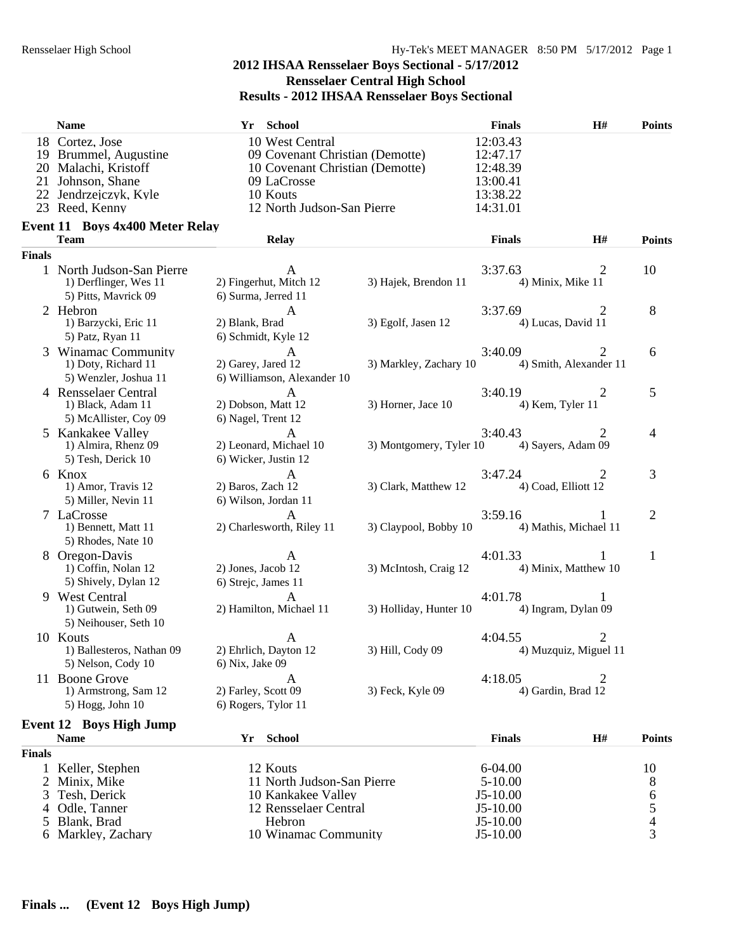|               | <b>Name</b>                                                                                                                      | Yr School                                                                                                                                      |                         | <b>Finals</b>                                                        | H#                          | <b>Points</b>          |
|---------------|----------------------------------------------------------------------------------------------------------------------------------|------------------------------------------------------------------------------------------------------------------------------------------------|-------------------------|----------------------------------------------------------------------|-----------------------------|------------------------|
|               | 18 Cortez, Jose<br>19 Brummel, Augustine<br>20 Malachi, Kristoff<br>21 Johnson, Shane<br>22 Jendrzejczyk, Kyle<br>23 Reed, Kenny | 10 West Central<br>09 Covenant Christian (Demotte)<br>10 Covenant Christian (Demotte)<br>09 LaCrosse<br>10 Kouts<br>12 North Judson-San Pierre |                         | 12:03.43<br>12:47.17<br>12:48.39<br>13:00.41<br>13:38.22<br>14:31.01 |                             |                        |
|               | <b>Event 11 Boys 4x400 Meter Relay</b><br>Team                                                                                   | <b>Relay</b>                                                                                                                                   |                         | <b>Finals</b>                                                        | H#                          | <b>Points</b>          |
| <b>Finals</b> |                                                                                                                                  |                                                                                                                                                |                         |                                                                      |                             |                        |
|               | 1 North Judson-San Pierre<br>1) Derflinger, Wes 11<br>5) Pitts, Mavrick 09                                                       | A<br>2) Fingerhut, Mitch 12<br>6) Surma, Jerred 11                                                                                             | 3) Hajek, Brendon 11    | 3:37.63<br>4) Minix, Mike 11                                         | 2                           | 10                     |
|               | 2 Hebron<br>1) Barzycki, Eric 11<br>5) Patz, Ryan 11                                                                             | A<br>2) Blank, Brad<br>6) Schmidt, Kyle 12                                                                                                     | 3) Egolf, Jasen 12      | 3:37.69<br>4) Lucas, David 11                                        | 2                           | 8                      |
|               | 3 Winamac Community<br>1) Doty, Richard 11<br>5) Wenzler, Joshua 11                                                              | $\mathbf{A}$<br>2) Garey, Jared 12<br>6) Williamson, Alexander 10                                                                              | 3) Markley, Zachary 10  | 3:40.09                                                              | 2<br>4) Smith, Alexander 11 | 6                      |
|               | 4 Rensselaer Central<br>1) Black, Adam 11<br>5) McAllister, Coy 09                                                               | A<br>2) Dobson, Matt 12<br>6) Nagel, Trent 12                                                                                                  | 3) Horner, Jace 10      | 3:40.19<br>4) Kem, Tyler 11                                          | 2                           | $\mathfrak{S}$         |
|               | 5 Kankakee Valley<br>1) Almira, Rhenz 09<br>5) Tesh, Derick 10                                                                   | A<br>2) Leonard, Michael 10<br>6) Wicker, Justin 12                                                                                            | 3) Montgomery, Tyler 10 | 3:40.43<br>4) Sayers, Adam 09                                        | 2                           | 4                      |
|               | 6 Knox<br>1) Amor, Travis 12<br>5) Miller, Nevin 11                                                                              | $\mathbf{A}$<br>2) Baros, Zach 12<br>6) Wilson, Jordan 11                                                                                      | 3) Clark, Matthew 12    | 3:47.24<br>4) Coad, Elliott 12                                       | 2                           | 3                      |
|               | 7 LaCrosse<br>1) Bennett, Matt 11<br>5) Rhodes, Nate 10                                                                          | A<br>2) Charlesworth, Riley 11                                                                                                                 | 3) Claypool, Bobby 10   | 3:59.16                                                              | 4) Mathis, Michael 11       | $\overline{2}$         |
|               | 8 Oregon-Davis<br>1) Coffin, Nolan 12<br>5) Shively, Dylan 12                                                                    | A<br>2) Jones, Jacob 12<br>6) Strejc, James 11                                                                                                 | 3) McIntosh, Craig 12   | 4:01.33                                                              | 4) Minix, Matthew 10        | $\mathbf{1}$           |
|               | 9 West Central<br>1) Gutwein, Seth 09<br>5) Neihouser, Seth 10                                                                   | $\mathsf{A}$<br>2) Hamilton, Michael 11                                                                                                        | 3) Holliday, Hunter 10  | 4:01.78<br>4) Ingram, Dylan 09                                       | 1                           |                        |
|               | 10 Kouts<br>1) Ballesteros, Nathan 09<br>5) Nelson, Cody 10                                                                      | A<br>2) Ehrlich, Dayton 12<br>6) Nix, Jake 09                                                                                                  | 3) Hill, Cody 09        | 4:04.55                                                              | 2<br>4) Muzquiz, Miguel 11  |                        |
|               | 11 Boone Grove<br>1) Armstrong, Sam 12<br>5) Hogg, John 10                                                                       | 2) Farley, Scott 09<br>6) Rogers, Tylor 11                                                                                                     | 3) Feck, Kyle 09        | 4:18.05<br>4) Gardin, Brad 12                                        |                             |                        |
|               | <b>Event 12 Boys High Jump</b><br><b>Name</b>                                                                                    | Yr School                                                                                                                                      |                         | <b>Finals</b>                                                        | H#                          | <b>Points</b>          |
| <b>Finals</b> |                                                                                                                                  |                                                                                                                                                |                         |                                                                      |                             |                        |
| 2<br>3        | 1 Keller, Stephen<br>Minix, Mike<br>Tesh, Derick<br>Odle, Tanner                                                                 | 12 Kouts<br>11 North Judson-San Pierre<br>10 Kankakee Valley<br>12 Rensselaer Central                                                          |                         | 6-04.00<br>$5 - 10.00$<br>$J5-10.00$<br>J5-10.00                     |                             | 10<br>8<br>$rac{6}{5}$ |
| 5             | Blank, Brad                                                                                                                      | Hebron                                                                                                                                         |                         | $J5-10.00$                                                           |                             |                        |
|               | Markley, Zachary                                                                                                                 | 10 Winamac Community                                                                                                                           |                         | $J5-10.00$                                                           |                             | 3                      |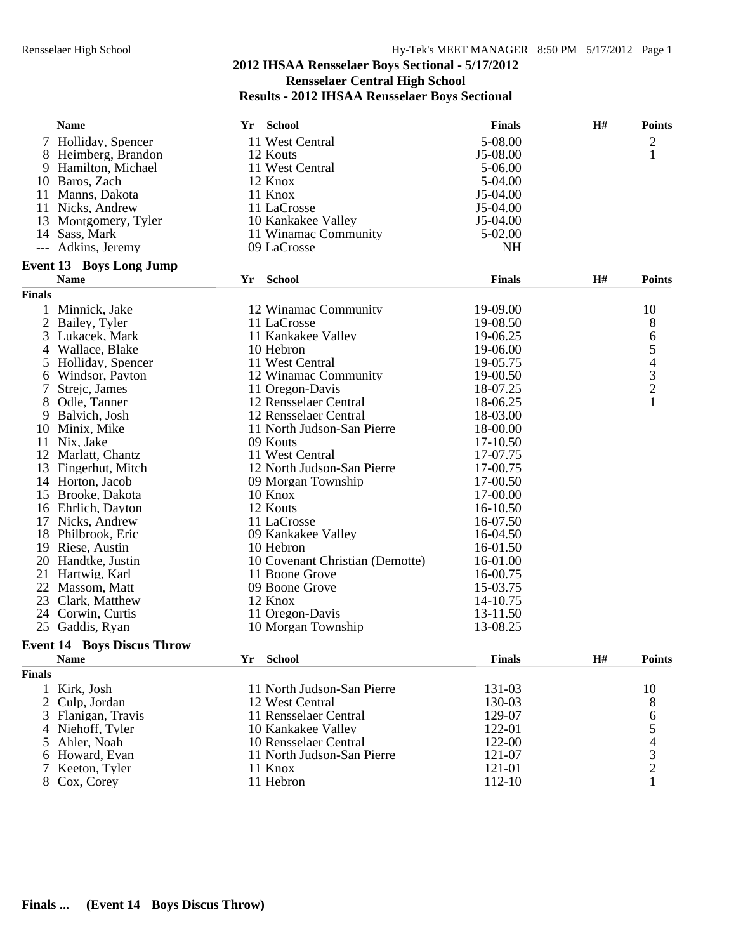|                | <b>Name</b>                       | Yr | <b>School</b>                   | <b>Finals</b> | H# | <b>Points</b>                                   |
|----------------|-----------------------------------|----|---------------------------------|---------------|----|-------------------------------------------------|
|                | 7 Holliday, Spencer               |    | 11 West Central                 | 5-08.00       |    | $\overline{c}$                                  |
|                | 8 Heimberg, Brandon               |    | 12 Kouts                        | $J5-08.00$    |    | $\mathbf{1}$                                    |
|                | 9 Hamilton, Michael               |    | 11 West Central                 | 5-06.00       |    |                                                 |
|                | 10 Baros, Zach                    |    | 12 Knox                         | 5-04.00       |    |                                                 |
|                | 11 Manns, Dakota                  |    | 11 Knox                         | J5-04.00      |    |                                                 |
|                | 11 Nicks, Andrew                  |    | 11 LaCrosse                     | J5-04.00      |    |                                                 |
|                | 13 Montgomery, Tyler              |    | 10 Kankakee Valley              | $J5-04.00$    |    |                                                 |
|                | 14 Sass, Mark                     |    | 11 Winamac Community            | 5-02.00       |    |                                                 |
|                | Adkins, Jeremy                    |    | 09 LaCrosse                     | <b>NH</b>     |    |                                                 |
|                | <b>Event 13 Boys Long Jump</b>    |    |                                 |               |    |                                                 |
|                | <b>Name</b>                       |    | Yr School                       | <b>Finals</b> | H# | <b>Points</b>                                   |
| <b>Finals</b>  |                                   |    |                                 |               |    |                                                 |
|                | 1 Minnick, Jake                   |    | 12 Winamac Community            | 19-09.00      |    | 10                                              |
|                | 2 Bailey, Tyler                   |    | 11 LaCrosse                     | 19-08.50      |    | 8                                               |
| 3              | Lukacek, Mark                     |    | 11 Kankakee Valley              | 19-06.25      |    | 6                                               |
|                | 4 Wallace, Blake                  |    | 10 Hebron                       | 19-06.00      |    | 5                                               |
|                | 5 Holliday, Spencer               |    | 11 West Central                 | 19-05.75      |    |                                                 |
| 6              | Windsor, Payton                   |    | 12 Winamac Community            | 19-00.50      |    | $\begin{array}{c} 4 \\ 3 \\ 2 \\ 1 \end{array}$ |
| 7              | Strejc, James                     |    | 11 Oregon-Davis                 | 18-07.25      |    |                                                 |
| 8              | Odle, Tanner                      |    | 12 Rensselaer Central           | 18-06.25      |    |                                                 |
| 9              | Balvich, Josh                     |    | 12 Rensselaer Central           | 18-03.00      |    |                                                 |
|                | 10 Minix, Mike                    |    | 11 North Judson-San Pierre      | 18-00.00      |    |                                                 |
|                | 11 Nix, Jake                      |    | 09 Kouts                        | 17-10.50      |    |                                                 |
|                | 12 Marlatt, Chantz                |    | 11 West Central                 | 17-07.75      |    |                                                 |
|                | 13 Fingerhut, Mitch               |    | 12 North Judson-San Pierre      | 17-00.75      |    |                                                 |
|                | 14 Horton, Jacob                  |    | 09 Morgan Township              | 17-00.50      |    |                                                 |
|                | 15 Brooke, Dakota                 |    | 10 Knox                         | 17-00.00      |    |                                                 |
|                | 16 Ehrlich, Dayton                |    | 12 Kouts                        | 16-10.50      |    |                                                 |
|                | 17 Nicks, Andrew                  |    | 11 LaCrosse                     | 16-07.50      |    |                                                 |
|                | 18 Philbrook, Eric                |    | 09 Kankakee Valley              | 16-04.50      |    |                                                 |
|                | 19 Riese, Austin                  |    | 10 Hebron                       | 16-01.50      |    |                                                 |
|                | 20 Handtke, Justin                |    | 10 Covenant Christian (Demotte) | 16-01.00      |    |                                                 |
|                | 21 Hartwig, Karl                  |    | 11 Boone Grove                  | 16-00.75      |    |                                                 |
| 22             | Massom, Matt                      |    | 09 Boone Grove                  | 15-03.75      |    |                                                 |
|                | 23 Clark, Matthew                 |    | 12 Knox                         | 14-10.75      |    |                                                 |
|                | 24 Corwin, Curtis                 |    | 11 Oregon-Davis                 | 13-11.50      |    |                                                 |
|                | 25 Gaddis, Ryan                   |    | 10 Morgan Township              | 13-08.25      |    |                                                 |
|                | <b>Event 14 Boys Discus Throw</b> |    |                                 |               |    |                                                 |
|                | <b>Name</b>                       | Yr | <b>School</b>                   | <b>Finals</b> | H# | <b>Points</b>                                   |
| <b>Finals</b>  |                                   |    |                                 |               |    |                                                 |
|                | 1 Kirk, Josh                      |    | 11 North Judson-San Pierre      | 131-03        |    | 10                                              |
| $\overline{2}$ | Culp, Jordan                      |    | 12 West Central                 | 130-03        |    | 8                                               |
|                | 3 Flanigan, Travis                |    | 11 Rensselaer Central           | 129-07        |    | 6                                               |
|                | 4 Niehoff, Tyler                  |    | 10 Kankakee Valley              | 122-01        |    | 5                                               |
|                | 5 Ahler, Noah                     |    | 10 Rensselaer Central           | 122-00        |    |                                                 |
|                | 6 Howard, Evan                    |    | 11 North Judson-San Pierre      | 121-07        |    | $rac{4}{3}$                                     |
|                | Keeton, Tyler                     |    | 11 Knox                         | 121-01        |    | $\overline{c}$                                  |
|                |                                   |    | 11 Hebron                       | 112-10        |    | 1                                               |
|                | 8 Cox, Corey                      |    |                                 |               |    |                                                 |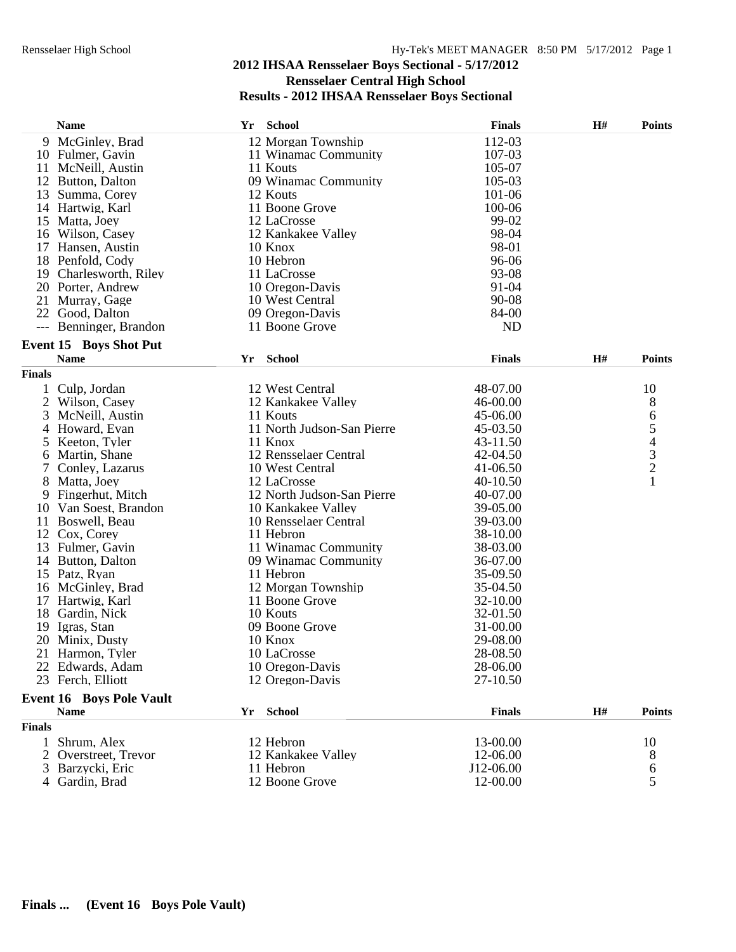|               | <b>Name</b>                     | School<br>Yr               | <b>Finals</b> | H# | <b>Points</b>                                   |
|---------------|---------------------------------|----------------------------|---------------|----|-------------------------------------------------|
|               | 9 McGinley, Brad                | 12 Morgan Township         | 112-03        |    |                                                 |
|               | 10 Fulmer, Gavin                | 11 Winamac Community       | 107-03        |    |                                                 |
|               | 11 McNeill, Austin              | 11 Kouts                   | 105-07        |    |                                                 |
|               | 12 Button, Dalton               | 09 Winamac Community       | 105-03        |    |                                                 |
|               | 13 Summa, Corey                 | 12 Kouts                   | 101-06        |    |                                                 |
|               | 14 Hartwig, Karl                | 11 Boone Grove             | 100-06        |    |                                                 |
|               | 15 Matta, Joey                  | 12 LaCrosse                | 99-02         |    |                                                 |
|               | 16 Wilson, Casey                | 12 Kankakee Valley         | 98-04         |    |                                                 |
|               | 17 Hansen, Austin               | 10 Knox                    | 98-01         |    |                                                 |
|               | 18 Penfold, Cody                | 10 Hebron                  | 96-06         |    |                                                 |
|               | 19 Charlesworth, Riley          | 11 LaCrosse                | 93-08         |    |                                                 |
|               | 20 Porter, Andrew               | 10 Oregon-Davis            | 91-04         |    |                                                 |
|               | 21 Murray, Gage                 | 10 West Central            | 90-08         |    |                                                 |
|               | 22 Good, Dalton                 | 09 Oregon-Davis            | 84-00         |    |                                                 |
| $---$         | Benninger, Brandon              | 11 Boone Grove             | <b>ND</b>     |    |                                                 |
|               | <b>Event 15 Boys Shot Put</b>   |                            |               |    |                                                 |
|               | <b>Name</b>                     | School<br>Yr               | <b>Finals</b> | H# | <b>Points</b>                                   |
| <b>Finals</b> |                                 |                            |               |    |                                                 |
| 1             | Culp, Jordan                    | 12 West Central            | 48-07.00      |    | 10                                              |
|               | 2 Wilson, Casey                 | 12 Kankakee Valley         | 46-00.00      |    | 8                                               |
| 3             | McNeill, Austin                 | 11 Kouts                   | 45-06.00      |    | 6                                               |
| 4             | Howard, Evan                    | 11 North Judson-San Pierre | 45-03.50      |    |                                                 |
| 5             | Keeton, Tyler                   | 11 Knox                    | 43-11.50      |    | $\begin{array}{c} 5 \\ 4 \\ 3 \\ 2 \end{array}$ |
| 6             | Martin, Shane                   | 12 Rensselaer Central      | 42-04.50      |    |                                                 |
| 7             | Conley, Lazarus                 | 10 West Central            | 41-06.50      |    |                                                 |
| 8             | Matta, Joey                     | 12 LaCrosse                | 40-10.50      |    |                                                 |
|               | 9 Fingerhut, Mitch              | 12 North Judson-San Pierre | 40-07.00      |    |                                                 |
|               | 10 Van Soest, Brandon           | 10 Kankakee Valley         | 39-05.00      |    |                                                 |
|               | 11 Boswell, Beau                | 10 Rensselaer Central      | 39-03.00      |    |                                                 |
|               | 12 Cox, Corey                   | 11 Hebron                  | 38-10.00      |    |                                                 |
|               | 13 Fulmer, Gavin                | 11 Winamac Community       | 38-03.00      |    |                                                 |
|               | 14 Button, Dalton               | 09 Winamac Community       | 36-07.00      |    |                                                 |
|               | 15 Patz, Ryan                   | 11 Hebron                  | 35-09.50      |    |                                                 |
|               | 16 McGinley, Brad               | 12 Morgan Township         | 35-04.50      |    |                                                 |
| 17            | Hartwig, Karl                   | 11 Boone Grove             | 32-10.00      |    |                                                 |
|               | 18 Gardin, Nick                 | 10 Kouts                   | 32-01.50      |    |                                                 |
|               | 19 Igras, Stan                  | 09 Boone Grove             | 31-00.00      |    |                                                 |
|               | 20 Minix, Dusty                 | 10 Knox                    | 29-08.00      |    |                                                 |
|               | 21 Harmon, Tyler                | 10 LaCrosse                | 28-08.50      |    |                                                 |
|               | 22 Edwards, Adam                | 10 Oregon-Davis            | 28-06.00      |    |                                                 |
|               | 23 Ferch, Elliott               | 12 Oregon-Davis            | 27-10.50      |    |                                                 |
|               |                                 |                            |               |    |                                                 |
|               | <b>Event 16 Boys Pole Vault</b> |                            |               |    |                                                 |
|               | <b>Name</b>                     | Yr School                  | <b>Finals</b> | H# | <b>Points</b>                                   |
| <b>Finals</b> |                                 |                            |               |    |                                                 |
| 1             | Shrum, Alex                     | 12 Hebron                  | 13-00.00      |    | 10                                              |
|               | 2 Overstreet, Trevor            | 12 Kankakee Valley         | 12-06.00      |    | 8                                               |
|               | Barzycki, Eric                  | 11 Hebron                  | J12-06.00     |    | 6                                               |
|               | Gardin, Brad                    | 12 Boone Grove             | 12-00.00      |    | 5                                               |